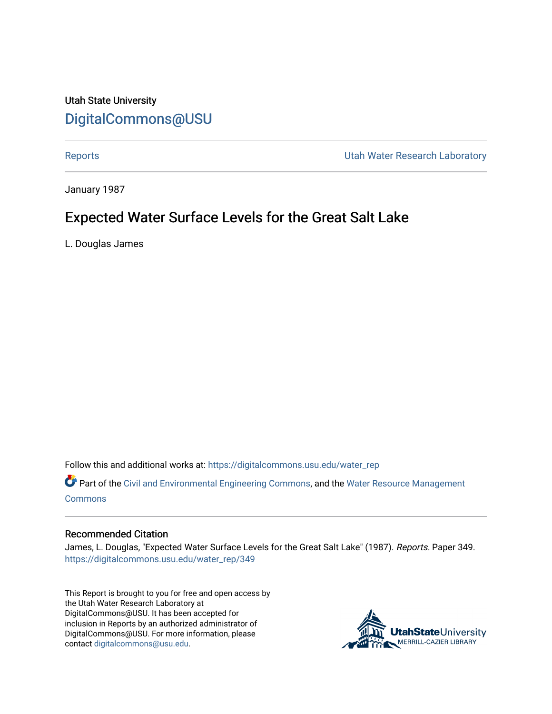# Utah State University [DigitalCommons@USU](https://digitalcommons.usu.edu/)

[Reports](https://digitalcommons.usu.edu/water_rep) **National Community Community** Channel Community Utah Water Research Laboratory

January 1987

# Expected Water Surface Levels for the Great Salt Lake

L. Douglas James

Follow this and additional works at: [https://digitalcommons.usu.edu/water\\_rep](https://digitalcommons.usu.edu/water_rep?utm_source=digitalcommons.usu.edu%2Fwater_rep%2F349&utm_medium=PDF&utm_campaign=PDFCoverPages) 

Part of the [Civil and Environmental Engineering Commons](http://network.bepress.com/hgg/discipline/251?utm_source=digitalcommons.usu.edu%2Fwater_rep%2F349&utm_medium=PDF&utm_campaign=PDFCoverPages), and the [Water Resource Management](http://network.bepress.com/hgg/discipline/1057?utm_source=digitalcommons.usu.edu%2Fwater_rep%2F349&utm_medium=PDF&utm_campaign=PDFCoverPages) [Commons](http://network.bepress.com/hgg/discipline/1057?utm_source=digitalcommons.usu.edu%2Fwater_rep%2F349&utm_medium=PDF&utm_campaign=PDFCoverPages)

# Recommended Citation

James, L. Douglas, "Expected Water Surface Levels for the Great Salt Lake" (1987). Reports. Paper 349. [https://digitalcommons.usu.edu/water\\_rep/349](https://digitalcommons.usu.edu/water_rep/349?utm_source=digitalcommons.usu.edu%2Fwater_rep%2F349&utm_medium=PDF&utm_campaign=PDFCoverPages)

This Report is brought to you for free and open access by the Utah Water Research Laboratory at DigitalCommons@USU. It has been accepted for inclusion in Reports by an authorized administrator of DigitalCommons@USU. For more information, please contact [digitalcommons@usu.edu](mailto:digitalcommons@usu.edu).

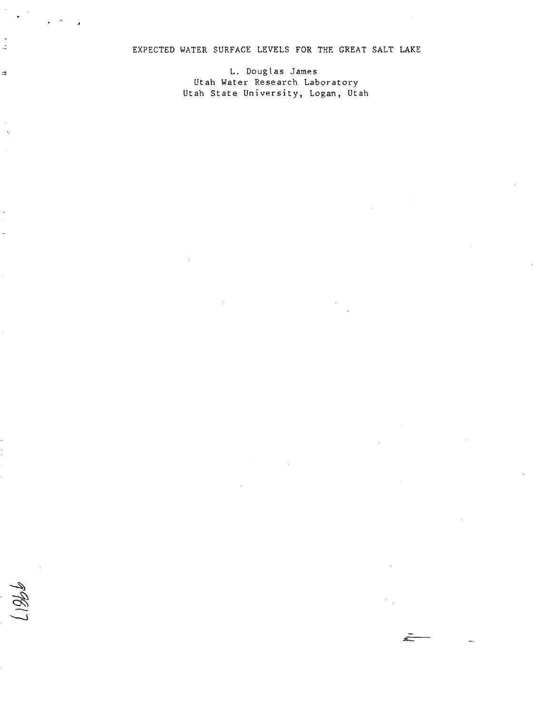# EXPECTED WATER SURFACE LEVELS FOR THE GREAT SALT LAKE

L. Douglas James Utah Water Research Laboratory Utah State University, Logan, Utah

 $\frac{1}{2}$ 

 $\Rightarrow$ 

-  $\epsilon$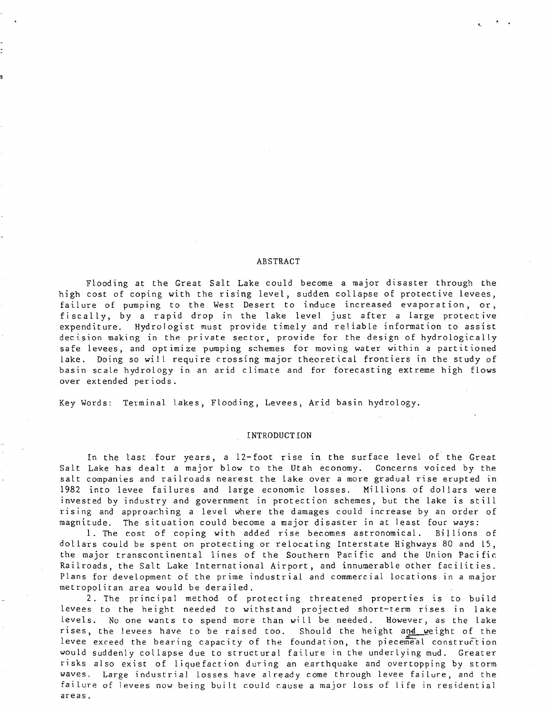#### ABSTRACT

Flooding at the Great Salt Lake could become a major disaster through the high cost of coping with the rising level, sudden collapse of protective levees, failure of pumping to the West Desert to induce increased evaporation, or, fiscally, by a rapid drop in the lake level just after a large protective expenditure. Hydrologist must provide timely and reliable information to assist decision making in the private sector, provide for the design of hydrologically safe levees, and optimize pumping schemes for moving water within a partitioned lake. Doing so will require crossing major theoretical frontiers in the study of basin scale hydrology in an arid climate and for forecasting extreme high flows over extended periods.

Key Words: Terminal lakes, Flooding, Levees, Arid basin hydrology.

#### INTRODUCT ION

In the last four years, a 12-foot rise in the surface level of the Great Salt Lake has dealt a major blow to the Utah economy. Concerns voiced by the salt companies and railroads nearest the lake over a more gradual rise erupted in 1982 into levee failures and large economic losses. Millions of dollars were invested by industry and government in protection schemes, but the lake is still rising and approaching a level where the damages could increase by an order of magnitude. The situation could become a major disaster in at least four ways:

1. The cost of coping with added rise becomes astronomical. Billions of dollars could be spent on protecting or relocating Interstate Highways 80 and l5, the major transcontinental lines of the Southern Pacific and the Union Pacific Railroads, the Salt Lake International Airport, and innumerable other facilities. Plans for development of the prime industrial and commercial locations in a major metropolitan area would be derailed.

2. The principal method of protecting threatened properties is to build levees to the height needed to withstand projected short-term rises in lake levels. No one wants to spend more than will be needed. However, as the lake rises, the levees have to be raised too. Should the height and weight of the levee exceed the bearing capacity of the foundation, the piecemeal construction would suddenly collapse due to structural failure in the underlying mud. Greater risks also exist of liquefaction during an earthquake and overtopping by storm waves. Large industrial losses have already come through levee failure, and the failure of levees now bejng built could cause a major loss of life in residential areas.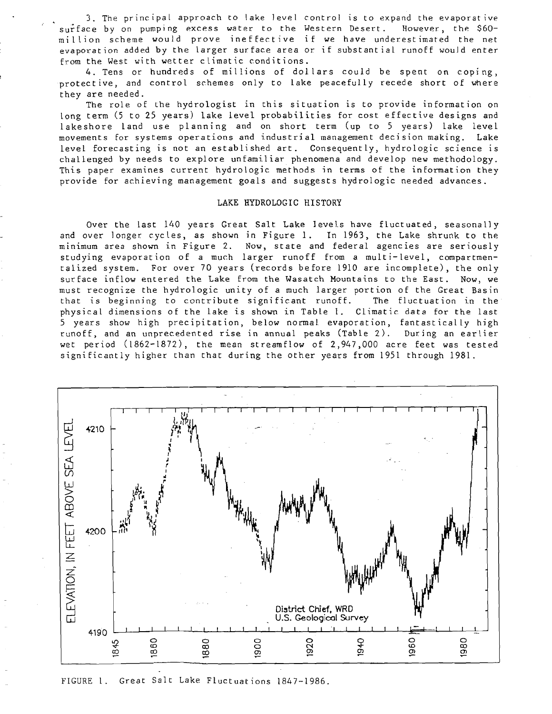3. The principal approach to lake level control is to expand the evaporative surface by on pumping excess water to the Western Desert. However, the \$60million scheme would prove ineffective if we have underestimated the net evaporation added by the larger surface area or if substantial runoff would enter from the West with wetter climatic conditions.

4. Tens or hundreds of millions of dollars could be spent on coping, protect ive, and control schemes only to lake peacefully recede short of where they are needed.

The role of the hydrologist in this situation is to provide information on long term (5 to 25 years) lake level probabilities for cost effective designs and lakeshore land use planning and on short term (up to 5 years) lake level movements for systems operations and industrial management decision making. Lake level forecasting is not an established art. Consequently, hydrologic science is challenged by needs to explore unfamiliar phenomena and develop new methodology. This paper examines current hydrologic methods in terms of the information they provide for achieving management goals and suggests hydrologic needed advances.

#### LAKE HYDROLOGIC HISTORY

Over the last 140 years Great Salt Lake levels have fluctuated, seasonally and over longer cycles, as shown in Figure 1. In 1963, the Lake shrunk to the minimum area shown in Figure 2. Now, state and federal agencies are seriously studying evaporation of a much larger runoff from a multi-level, compartmentalized system. For over 70 years (records before 1910 are incomplete), the only surface inflow entered the Lake from the Wasatch Mountains to the East. Now, we must recognize the hydrologic unity of a much larger portion of the Great Basin that is beginnjng to contribute significant runoff. The fluctuation in the physical dimensions of the lake is shown in Table 1. Climatic data for the last 5 years show high precipitation, below normal evaporation, fantastically high runoff, and an unprecedented rise in annual peaks CTable 2). During an earlier wet period (1862-1872), the mean streamflow of 2,947,000 acre feet was tested significantly higher than that during the other years from 1951 through 1981.



FIGURE 1. Great Salt Lake Fluctuations 1847-1986.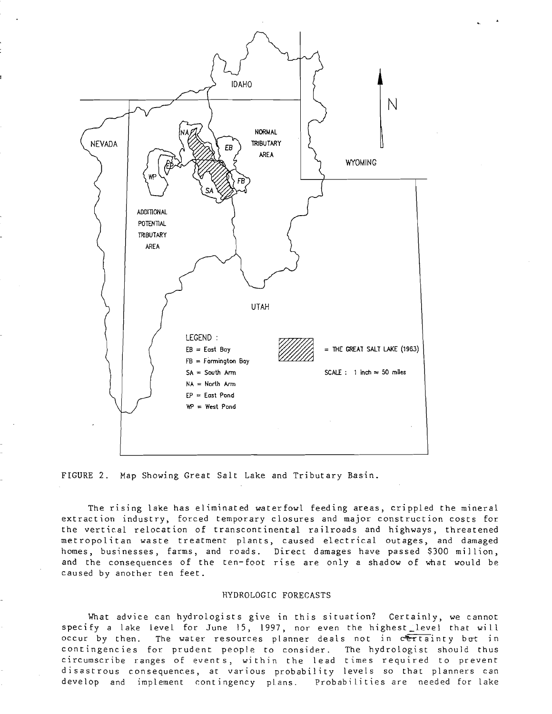



The rising lake has eliminated waterfowl feeding areas, crippled the mineral extraction industry, forced temporary closures and major construction costs for the vertical relocation of transcontinental railroads and highways, threatened metropolitan waste treatment plants, caused electrical outages, and damaged homes, businesses, farms, and roads. Direct damages have passed \$300 million, and the consequences of the ten-foot rise are only a shadow of what would be caused by another ten feet.

## HYDROLOGIC FORECASTS

What advice can hydrologists give in this situation? Certainly, we cannot specify a lake level for June 15, 1997, nor even the highest\_level that wiI.l occur by then. The water resources planner deals not in certainty but in contingencies for prudent people to consider. The hydrologist should thus circumscribe ranges of events, within the lead times required to prevent disastrous consequences, at various probability levels so that planners can develop and implement contingency plans. Probabilities are needed for lake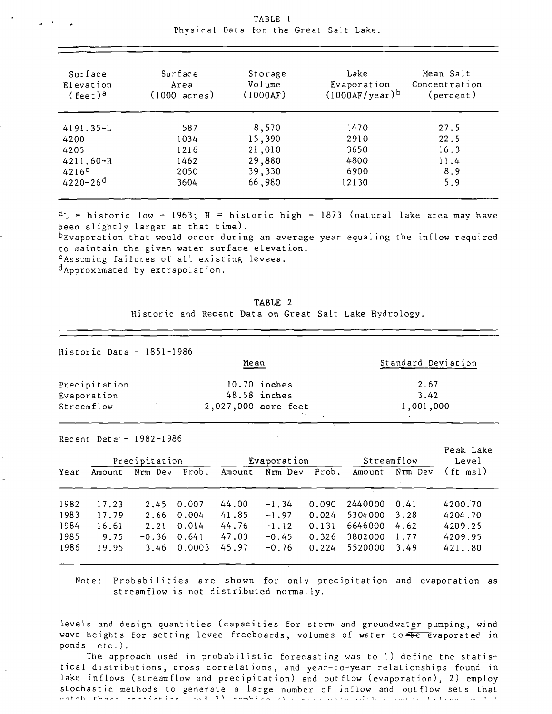| Surface<br>Elevation<br>$(feet)^a$ | Surface<br>Area<br>$(1000 \text{ acres})$ | Storage<br>Volume<br>(1000AF) | Lake<br>Evaporation<br>$(1000AF/year)^b$ | Mean Salt<br>Concentration<br>(percent) |  |
|------------------------------------|-------------------------------------------|-------------------------------|------------------------------------------|-----------------------------------------|--|
| $4191.35 - L$                      | 587                                       | 8,570                         | 1470                                     | 27.5                                    |  |
| 4200                               | 1034                                      | 15,390                        | 2910                                     | 22.5                                    |  |
| 4205                               | 1216                                      | 21,010                        | 3650                                     | 16.3                                    |  |
| $4211.60 - H$                      | 1462                                      | 29,880                        | 4800                                     | 11.4                                    |  |
| 4216 <sup>c</sup>                  | 2050                                      | 39,330                        | 6900                                     | 8.9                                     |  |
| $4220 - 26$ <sup>d</sup>           | 3604                                      | 66,980                        | 12130                                    | 5.9                                     |  |

| $\epsilon$ . The contract of $\epsilon$ | TABLE 1                                |
|-----------------------------------------|----------------------------------------|
|                                         | Physical Data for the Great Salt Lake. |

 $a_L$  = historic low - 1963; H = historic high - 1873 (natural lake area may have been slightly larger at that time).

bEvaporation that would occur during an average year equaling the inflow required to maintain the given water surface elevation. cAssuming failures of all existing levees.

dApproximated by extrapolation.

| TABLE 2 |  |  |  |  |  |  |  |                                                        |
|---------|--|--|--|--|--|--|--|--------------------------------------------------------|
|         |  |  |  |  |  |  |  | Historic and Recent Data on Great Salt Lake Hydrology. |

| Historic Data $-$ 1851-1986 |                     |                    |
|-----------------------------|---------------------|--------------------|
|                             | Mean                | Standard Deviation |
| Precipitation               | $10.70$ inches      | 2.67               |
| Evaporation                 | 48.58 inches        | 3.42               |
| Streamflow                  | 2,027,000 acre feet | 1,001,000          |

Recent Data  $-$  1982-1986

| Precipitation |        |         | Evaporation |        |         | Streamflow | Peak Lake<br>Level |         |          |
|---------------|--------|---------|-------------|--------|---------|------------|--------------------|---------|----------|
| Year          | Amount | Nrm Dev | Prob.       | Amount | Nrm Dev | Prob.      | Amount             | Nrm Dev | (ft msl) |
| 1982          | 17.23  | 2.45    | 0.007       | 44.00  | $-1.34$ | 0.090      | 2440000            | 0.41    | 4200.70  |
| 1983          | 17.79  | 2.66    | 0.004       | 41.85  | $-1.97$ | 0.024      | 5304000            | 3.28    | 4204.70  |
| 1984          | 16.61  | 2.21    | 0.014       | 44.76  | $-1.12$ | 0.131      | 6646000            | 4.62    | 4209.25  |
| 1985          | 9.75   | $-0.36$ | 0.641       | 47.03  | $-0.45$ | 0.326      | 3802000            | 1.77    | 4209.95  |
| 1986          | 19.95  | 3.46    | 0.0003      | 45.97  | $-0.76$ | 0.224      | 5520000            | 3.49    | 4211.80  |

Note: Probabilities are shown for only precipitation and evaporation as streamflow is not distributed normaily.

levels and design quantities (capacities for storm and groundwater pumping, wind wave heights for setting levee freeboards, volumes of water to=se evaporated in ponds, etc.).

The approach used in probabilistic forecasting was to 1) define the statistical distributions, cross correlations, and year-to-year relationships found in lake inflows (streamflow and precipitation) and outflow (evaporation), 2) employ stochastic methods to generate a large number of inflow and outflow sets that TTl .., ,... r **h t-l-,** ("I (~.... r ~ -: I- .: r"'" ; .... r .~ . .., -l ")" ~ • .., ......... \." ; ,....., '-' • \, ~ - ,\_ •• ;. 1, . 1 ."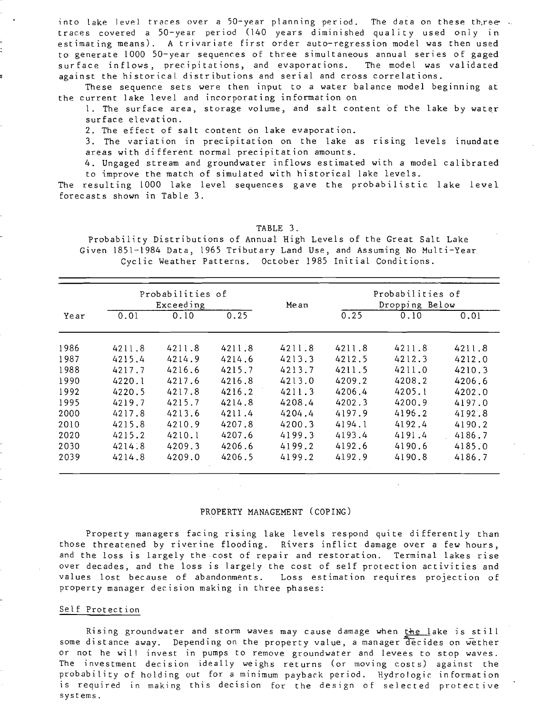into lake level traces over a 50-year planning period. The data on these thiree  $\ldots$ traces covered a 50-year period (140 years diminished quality used only In estimating means). A trivariate first order auto-regression model was then used to generate 1000 50-year sequences of three simultaneous annual series of gaged surface inflows, precipitations, and evaporations. The model was validated against the historical distributions and serial and cross correlations.

These sequence sets were then input to a water balance model beginning at the current lake level and incorporating information on

1. The surface area, storage volume, and salt content of the lake by water surface elevation.

2. The effect of salt content on lake evaporation.

3. The variation in precipitation on the lake as rising levels inundate areas with different normal precipitation amounts.

4. Ungaged stream and groundwater inflows estimated with a model calibrated to improve the match of simulated with historical lake levels.

The resulting 1000 lake level sequences gave the probabilistic lake level forecasts shown in Table 3.

TABLE 3.

Probability Distributions of Annual High Levels of the Great Salt Lake Given 1851-1984 Data, 1965 Tributary Land Use, and Assuming No Multi-Year Cyclic Weather Patterns. October 1985 Initial Conditions.

|      |        | Probabilities of<br>Exceeding |        | Mean   | Probabilities of<br>Dropping Below |        |        |  |
|------|--------|-------------------------------|--------|--------|------------------------------------|--------|--------|--|
| Year | 0.01   | 0.10                          | 0.25   |        | 0.25                               | 0.10   | 0.01   |  |
| 1986 | 4211.8 | 4211.8                        | 4211.8 | 4211.8 | 4211.8                             | 4211.8 | 4211.8 |  |
| 1987 | 4215.4 | 4214.9                        | 4214.6 | 4213.3 | 4212.5                             | 4212.3 | 4212.0 |  |
| 1988 | 4217.7 | 4216.6                        | 4215.7 | 4213.7 | 4211.5                             | 4211.0 | 4210.3 |  |
| 1990 | 4220.1 | 4217.6                        | 4216.8 | 4213.0 | 4209.2                             | 4208.2 | 4206.6 |  |
| 1992 | 4220.5 | 4217.8                        | 4216.2 | 4211.3 | 4206.4                             | 4205.1 | 4202.0 |  |
| 1995 | 4219.7 | 4215.7                        | 4214.8 | 4208.4 | 4202.3                             | 4200.9 | 4197.0 |  |
| 2000 | 4217.8 | 4213.6                        | 4211.4 | 4204.4 | 4197.9                             | 4196.2 | 4192.8 |  |
| 2010 | 4215.8 | 4210.9                        | 4207.8 | 4200.3 | 4194.1                             | 4192.4 | 4190.2 |  |
| 2020 | 4215.2 | 4210.1                        | 4207.6 | 4199.3 | 4193.4                             | 4191.4 | 4186.7 |  |
| 2030 | 4214.8 | 4209.3                        | 4206.6 | 4199.2 | 4192.6                             | 4190.6 | 4185.0 |  |
| 2039 | 4214.8 | 4209.0                        | 4206.5 | 4199.2 | 4192.9                             | 4190.8 | 4186.7 |  |

#### PROPERTY MANAGEMENT (COPING)

Property managers facing rising lake levels respond quite differently than those threatened by riverine flooding. Rivers inflict damage over a few hours, and the loss is largely the cost of repair and restoration. Terminal lakes rise over decades, and the loss is largely the cost of self protection activities and values lost because of abandonments. Loss estimation requlres projection of property manager decision making in three phases:

### Self Protection

Rising groundwater and storm waves may cause damage when the lake is still some distance away. Depending on the property value, a manager decides on wether or not he will invest in pumps to remove groundwater and levees to stop waves. The investment decision ideally weighs returns (or moving costs) against the probability of holding out for a minimum payback period. Hydrologic information is required in making this decision for the design of selected protective systems.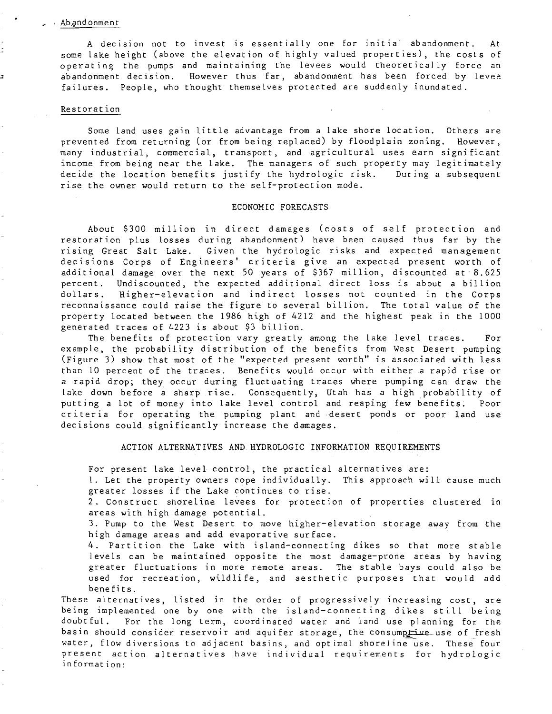#### Ab and onment

A decision not to invest is essentially one for initial abandonment. At some lake height (above the elevation of highly valued properties), the costs of operating the pumps and maintaining the levees would theoretically force an abandonment decision. However thus far, abandonment has been forced by levee failures. People, who thought themselves protected are suddenly inundated.

#### Restorat ion

Some land uses gain little advantage from a lake shore location. Others are prevented from returning (or from being replaced) by floodplain zoning. However, many industrial, commercial, transport, and agricultural uses earn signi ficant income from being near the lake. The managers of such property may legitimately decide the location benefits justify the hydrologic risk. During a subsequent rise the owner would return to the self-protection mode.

## ECONOMIC FORECASTS

About \$300 million in direct damages (costs of self protection and restoration plus losses during abandonment) have been caused thus far by the rising Great Salt Lake. Given the hydrologic risks and expected management decisions Corps of Engineers' criteria give an expected present worth of additional damage over the next 50 years of \$367 million, discounted at 8.625 percent. Undiscounted, the expected additional direct loss is about a billion dollars. Higher-elevation and indirect losses not counted in the Corps reconnaissance could raise the figure to several billion. The total value of the property located between the 1986 high of 4212 and the highest peak in the 1000 generated traces of 4223 is about \$3 billion.

The benefits of protection vary greatly among the lake level traces. For example, the probability distribution of the benefits from West Desert pumping (Figure 3) show that most of the "expected present worth" is associated with less than 10 percent of the traces. Benefits would occur with either a rapid rise or a rapid drop; they occur during fluctuating traces where pumping can draw the lake down before a sharp rise. Consequently, Utah has a high probability of putting a lot of money into lake level control and reaping few benefits; Poor criteria for operating the pumping plant and desert ponds or poor land use decisions could significantly increase the damages.

### ACTION ALTERNATIVES AND HYDROLOGIC INFORMATION REQUIREMENTS

For present lake level control, the practical alternatives are:

1. Let the property owners cope individually. This approach will cause much greater losses if the Lake continues to rise.

2. Construct shoreline levees for protection of properties clustered in areas with high damage potential.

3. Pump to the West Desert to move higher-elevat ion storage away from the high damage areas and add evaporative surface.

4. Partition the Lake with island-connecting dikes so that more stable levels can be maintained opposite the most damage-prone areas by having greater fluctuations in more remote areas. The stable bays could also be used for recreation, wildlife, and aesthetic purposes that would add benefits.

These alternatives, listed in the order of progressively increasing cost, are being implemented one by one with the island-connecting dikes still being doubtful. For the long term, coordinated water and land use planning for the basin should consider reservoir and aquifer storage, the consumprive use of fresh water, flow diversions to adjacent basins, and optimal shoreline use. These four present action alternatives have individual requirements for hydrologic in formation: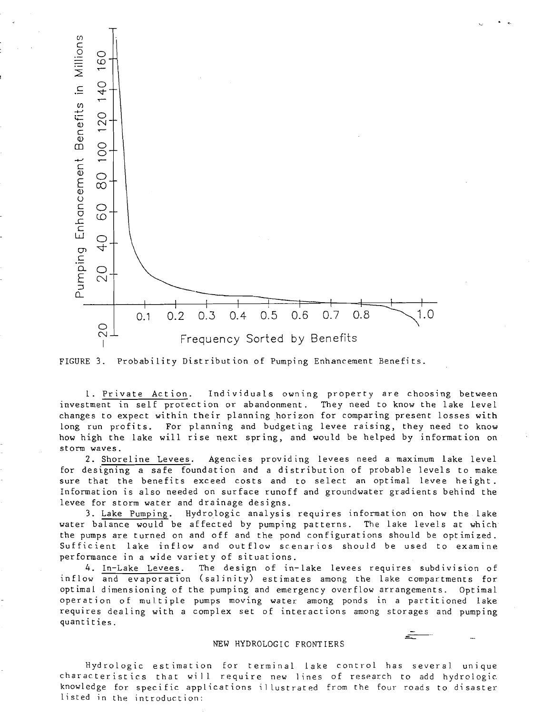

 $\bullet$ 



1. Private Action. Individuals owning property are choosing between investment in self protection or abandonment. They need to know the lake level changes to expect within their planning horizon for comparing present losses with long run profits. For planning and budgeting levee raising, they need to know how high the lake will rise next spring, and would be helped by information on storm waves.

2. Shoreline Levees. Agencies providing levees need a maximum lake level for designing a safe foundation and a distribution of probable levels to make sure that the benefits exceed costs and to select an optimal levee height. Information is also needed on surface runoff and groundwater gradients behind the levee for storm water and drainage designs.

3. Lake Pumping. Hydrologic analysis requires information on how the lake water balance would be affected by pumping patterns. The lake levels at which the pumps are turned on and off and the pond configurations should be optimized. Sufficient lake inflow and outflow scenarios should be used to examine performance in a wide variety of situations.

4. In-Lake Levees. The design of in-lake levees requires subdivision of inflow and evaporation (salinity) estimates among the lake compartments for optimal dimensioning of the pumping and emergency overflow arrangements. Optimal operation of multiple pumps moving water among ponds in a partitioned lake requires dealing with a complex set of interactions among storages and pumping quantities.

### NEW HYDROLOGIC FRONTIERS

Hydrologic estimation for terminal lake control has several unique characteristics that will require new lines of research to add hydrologic knowledge for specific applications illustrated from the four roads to disaster listed in the introduction: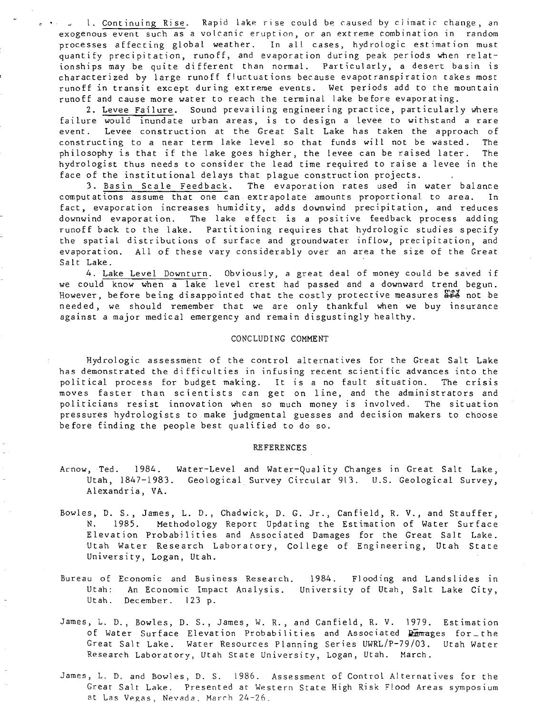1. Continuing Rise. Rapid lake rise could be caused by climatic change, an exogenous event such as a volcanic eruption, or an extreme combination in random processes affecting global weather. In all cases, hydrologic estimation must quantify precipitation, runoff, and evaporation during peak periods when relationships may be quite different than normal. Particularly, a desert basin is characterized by large runoff fluctuations because evapotranspiration takes most runoff in transit except during extreme events. Wet periods add to the mountain runoff and cause more water to reach the terminal lake before evaporating.

2. Levee Failure. Sound prevailing engineering practice, particularly where failure would inundate urban areas, is to design a levee to withstand a rare event. Levee construction at the Great Salt Lake has taken the approach of constructing to a near term lake level so that funds will not be wasted. The philosophy is that if the lake goes higher, the levee can be raised later. The hydrologist thus needs to consider the lead time required to raise a levee in the face of the institutional delays that plague construction projects.

3. Basin Scale Feedback. The evaporation rates used in water balance computations assume that one can extrapolate amounts proportional to area. In fact, evaporation increases humidity, adds downwind precipitation, and reduces downwind evaporation. The lake effect is a positive feedback process adding runoff back to the lake. Partitioning requires that hydrologic studies specify the spatial distributions of surface and groundwater inflow, precipitation, and evaporation. All of these vary considerably over an area the size of the Great Salt Lake.

4. Lake Level Downturn. Obviously, a great deal of money could be saved if we could know when a lake level crest had passed and a downward trend begun. However, before being disappointed that the costly protective measures  $\mathbb{R}^2$  not be needed, we should remember that we are only thankful when we buy lnsurance against a major medical emergency and remain disgustingly healthy.

## CONCLUDING COMMENT

Hydrologic assessment of the control alternatives for the Great Salt Lake has demonstrated the difficulties in infusing recent scientific advances into the political process for budget making. It is a no fault situation. The crisis moves faster than scientists can get on line, and the administrators and politicians resist innovation when so much money is involved. The situation pressures hydrologists to make judgmental guesses and decision makers to choose before finding the people best qualified to do so.

#### REFERENCES

- Arnow, Ted. 1984. Water-Level and Water-Quality Changes in Great Salt Lake, Utah, 1847-1983. Geological Survey Circular 913. U.S. Geological Survey, Alexandria, VA.
- Bowles, D. S., James, L. D., ChadwiCk, D. G. Jr., Canfield, R. V., and Stauffer, N. 1985. Methodology Report Updating the Estimation of Water Surface Elevation Probabjlities and Associated Damages for the Great Salt Lake. Utah Water Research Laboratory, College of Engineering, Utah State University, Logan, Utah.
- Bureau of Economic and Business Research. Utah: Utah. December. 123 p. An Economic Impact Analysis. University of Utah, Salt Lake City, 1984. Flooding and Landslides in
- James, L. D., Bowles, D. S., James, W. R., and Canfield, R. V. 1979. Estimation of Water Surface Elevation Probabilities and Associated  $\frac{D}{2}$ mages for the Great Salt Lake. Water Resources Planning Series UWRL/P-79/03. Utah Water Research Laboratory, Utah State University, Logan, Utah. March.
- James, L. D. and Bowles, D. S. 1986. Assessment of Control Alternatives for the Great Salt Lake. Presented at Western State High Risk Flood Areas symposium at Las Vegas, Nevada, March 24-26.